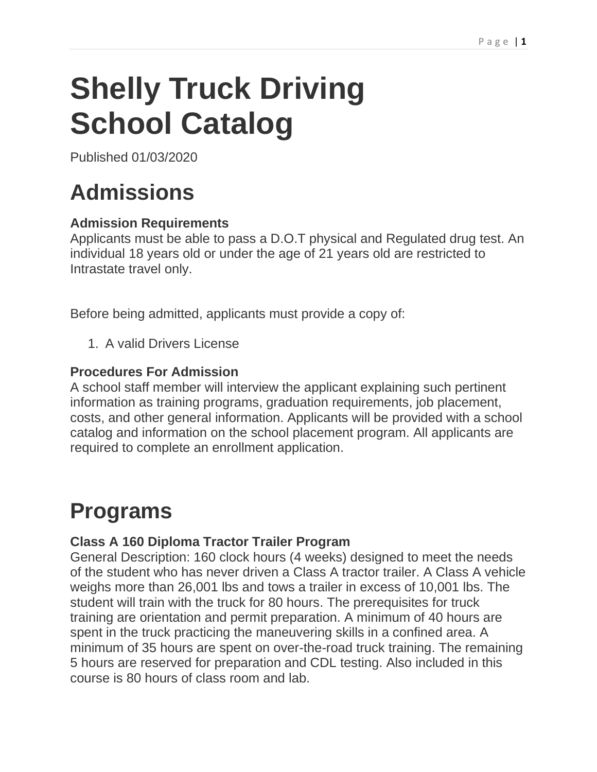# **Shelly Truck Driving School Catalog**

Published 01/03/2020

# **Admissions**

#### **Admission Requirements**

Applicants must be able to pass a D.O.T physical and Regulated drug test. An individual 18 years old or under the age of 21 years old are restricted to Intrastate travel only.

Before being admitted, applicants must provide a copy of:

1. A valid Drivers License

#### **Procedures For Admission**

A school staff member will interview the applicant explaining such pertinent information as training programs, graduation requirements, job placement, costs, and other general information. Applicants will be provided with a school catalog and information on the school placement program. All applicants are required to complete an enrollment application.

# **Programs**

#### **Class A 160 Diploma Tractor Trailer Program**

General Description: 160 clock hours (4 weeks) designed to meet the needs of the student who has never driven a Class A tractor trailer. A Class A vehicle weighs more than 26,001 lbs and tows a trailer in excess of 10,001 lbs. The student will train with the truck for 80 hours. The prerequisites for truck training are orientation and permit preparation. A minimum of 40 hours are spent in the truck practicing the maneuvering skills in a confined area. A minimum of 35 hours are spent on over-the-road truck training. The remaining 5 hours are reserved for preparation and CDL testing. Also included in this course is 80 hours of class room and lab.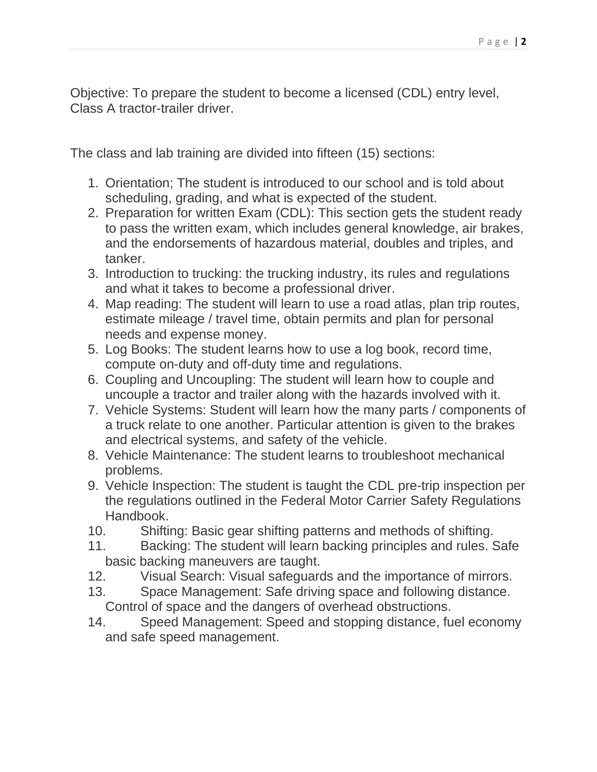Objective: To prepare the student to become a licensed (CDL) entry level, Class A tractor-trailer driver.

The class and lab training are divided into fifteen (15) sections:

- 1. Orientation; The student is introduced to our school and is told about scheduling, grading, and what is expected of the student.
- 2. Preparation for written Exam (CDL): This section gets the student ready to pass the written exam, which includes general knowledge, air brakes, and the endorsements of hazardous material, doubles and triples, and tanker.
- 3. Introduction to trucking: the trucking industry, its rules and regulations and what it takes to become a professional driver.
- 4. Map reading: The student will learn to use a road atlas, plan trip routes, estimate mileage / travel time, obtain permits and plan for personal needs and expense money.
- 5. Log Books: The student learns how to use a log book, record time, compute on-duty and off-duty time and regulations.
- 6. Coupling and Uncoupling: The student will learn how to couple and uncouple a tractor and trailer along with the hazards involved with it.
- 7. Vehicle Systems: Student will learn how the many parts / components of a truck relate to one another. Particular attention is given to the brakes and electrical systems, and safety of the vehicle.
- 8. Vehicle Maintenance: The student learns to troubleshoot mechanical problems.
- 9. Vehicle Inspection: The student is taught the CDL pre-trip inspection per the regulations outlined in the Federal Motor Carrier Safety Regulations Handbook.
- 10. Shifting: Basic gear shifting patterns and methods of shifting.
- 11. Backing: The student will learn backing principles and rules. Safe basic backing maneuvers are taught.
- 12. Visual Search: Visual safeguards and the importance of mirrors.
- 13. Space Management: Safe driving space and following distance. Control of space and the dangers of overhead obstructions.
- 14. Speed Management: Speed and stopping distance, fuel economy and safe speed management.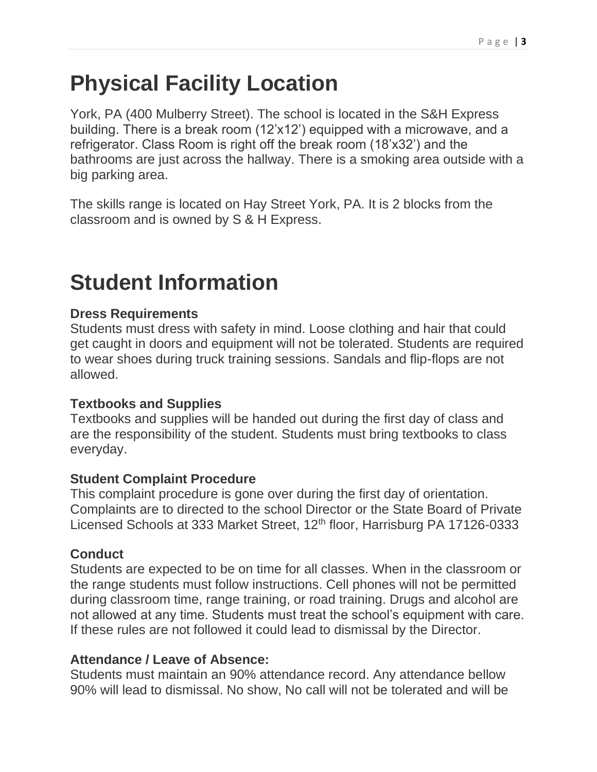## **Physical Facility Location**

York, PA (400 Mulberry Street). The school is located in the S&H Express building. There is a break room (12'x12') equipped with a microwave, and a refrigerator. Class Room is right off the break room (18'x32') and the bathrooms are just across the hallway. There is a smoking area outside with a big parking area.

The skills range is located on Hay Street York, PA. It is 2 blocks from the classroom and is owned by S & H Express.

### **Student Information**

#### **Dress Requirements**

Students must dress with safety in mind. Loose clothing and hair that could get caught in doors and equipment will not be tolerated. Students are required to wear shoes during truck training sessions. Sandals and flip-flops are not allowed.

#### **Textbooks and Supplies**

Textbooks and supplies will be handed out during the first day of class and are the responsibility of the student. Students must bring textbooks to class everyday.

#### **Student Complaint Procedure**

This complaint procedure is gone over during the first day of orientation. Complaints are to directed to the school Director or the State Board of Private Licensed Schools at 333 Market Street, 12<sup>th</sup> floor, Harrisburg PA 17126-0333

#### **Conduct**

Students are expected to be on time for all classes. When in the classroom or the range students must follow instructions. Cell phones will not be permitted during classroom time, range training, or road training. Drugs and alcohol are not allowed at any time. Students must treat the school's equipment with care. If these rules are not followed it could lead to dismissal by the Director.

#### **Attendance / Leave of Absence:**

Students must maintain an 90% attendance record. Any attendance bellow 90% will lead to dismissal. No show, No call will not be tolerated and will be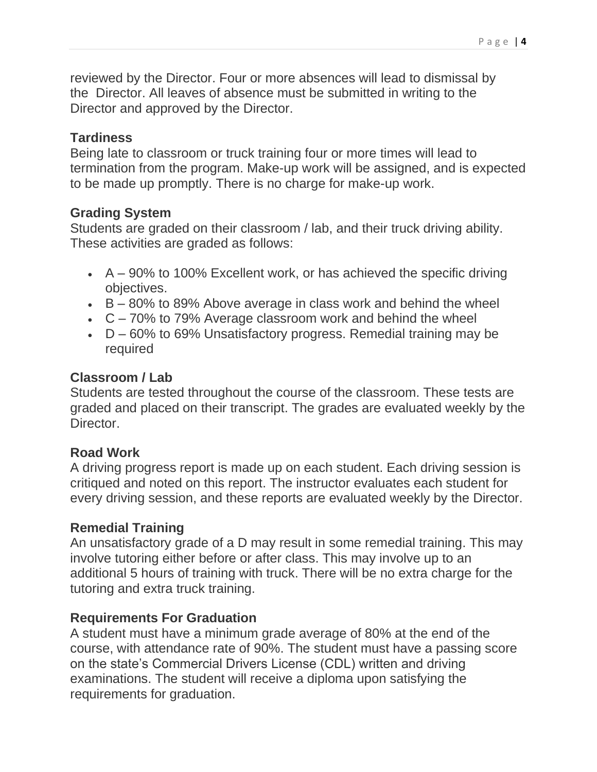reviewed by the Director. Four or more absences will lead to dismissal by the Director. All leaves of absence must be submitted in writing to the Director and approved by the Director.

#### **Tardiness**

Being late to classroom or truck training four or more times will lead to termination from the program. Make-up work will be assigned, and is expected to be made up promptly. There is no charge for make-up work.

#### **Grading System**

Students are graded on their classroom / lab, and their truck driving ability. These activities are graded as follows:

- $\bullet$  A 90% to 100% Excellent work, or has achieved the specific driving objectives.
- $\cdot$  B 80% to 89% Above average in class work and behind the wheel
- $\cdot$  C 70% to 79% Average classroom work and behind the wheel
- $\bullet$  D 60% to 69% Unsatisfactory progress. Remedial training may be required

#### **Classroom / Lab**

Students are tested throughout the course of the classroom. These tests are graded and placed on their transcript. The grades are evaluated weekly by the **Director** 

#### **Road Work**

A driving progress report is made up on each student. Each driving session is critiqued and noted on this report. The instructor evaluates each student for every driving session, and these reports are evaluated weekly by the Director.

#### **Remedial Training**

An unsatisfactory grade of a D may result in some remedial training. This may involve tutoring either before or after class. This may involve up to an additional 5 hours of training with truck. There will be no extra charge for the tutoring and extra truck training.

#### **Requirements For Graduation**

A student must have a minimum grade average of 80% at the end of the course, with attendance rate of 90%. The student must have a passing score on the state's Commercial Drivers License (CDL) written and driving examinations. The student will receive a diploma upon satisfying the requirements for graduation.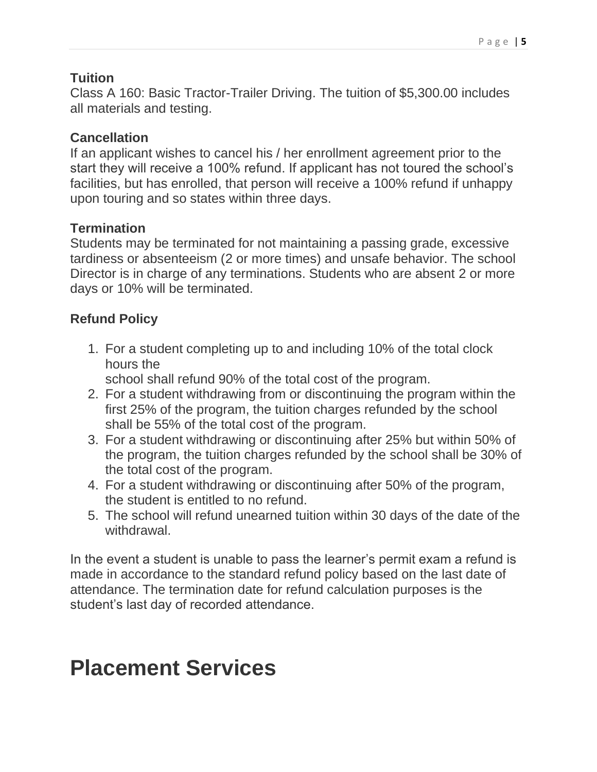#### **Tuition**

Class A 160: Basic Tractor-Trailer Driving. The tuition of \$5,300.00 includes all materials and testing.

#### **Cancellation**

If an applicant wishes to cancel his / her enrollment agreement prior to the start they will receive a 100% refund. If applicant has not toured the school's facilities, but has enrolled, that person will receive a 100% refund if unhappy upon touring and so states within three days.

#### **Termination**

Students may be terminated for not maintaining a passing grade, excessive tardiness or absenteeism (2 or more times) and unsafe behavior. The school Director is in charge of any terminations. Students who are absent 2 or more days or 10% will be terminated.

#### **Refund Policy**

1. For a student completing up to and including 10% of the total clock hours the

school shall refund 90% of the total cost of the program.

- 2. For a student withdrawing from or discontinuing the program within the first 25% of the program, the tuition charges refunded by the school shall be 55% of the total cost of the program.
- 3. For a student withdrawing or discontinuing after 25% but within 50% of the program, the tuition charges refunded by the school shall be 30% of the total cost of the program.
- 4. For a student withdrawing or discontinuing after 50% of the program, the student is entitled to no refund.
- 5. The school will refund unearned tuition within 30 days of the date of the withdrawal.

In the event a student is unable to pass the learner's permit exam a refund is made in accordance to the standard refund policy based on the last date of attendance. The termination date for refund calculation purposes is the student's last day of recorded attendance.

### **Placement Services**